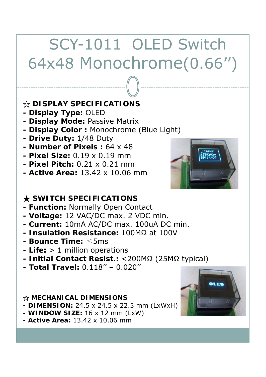# SCY-1011 OLED Switch 64x48 Monochrome(0.66'')

### ☆ **DISPLAY SPECIFICATIONS**

- **Display Type:** OLED
- **Display Mode: Passive Matrix**
- **Display Color :** Monochrome (Blue Light)
- **Drive Duty:** 1/48 Duty
- **Number of Pixels :** 64 x 48
- **Pixel Size:** 0.19 x 0.19 mm
- **Pixel Pitch:** 0.21 x 0.21 mm
- **Active Area:** 13.42 x 10.06 mm



### ★ **SWITCH SPECIFICATIONS**

- **Function:** Normally Open Contact
- **Voltage:** 12 VAC/DC max. 2 VDC min.
- **Current:** 10mA AC/DC max. 100uA DC min.
- **Insulation Resistance:** 100MΩ at 100V
- **Bounce Time:** ≦5ms
- **Life:** > 1 million operations
- **- Initial Contact Resist : Resist.:**<200MΩ (25MΩ typical)
- **Total Travel:** 0.118'' 0.020''

#### ☆ **MECHANICAL DIMENSIONS**

- **DIMENSION:** 24.5 x 24.5 x 22.3 mm (LxWxH)
- **WINDOW SIZE:** 16 x 12 mm (LxW)
- **Active Area:** 13.42 x 10.06 mm

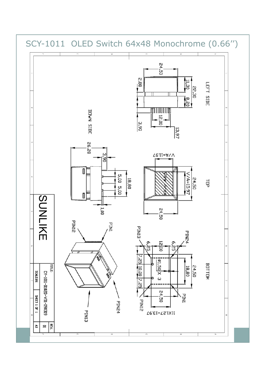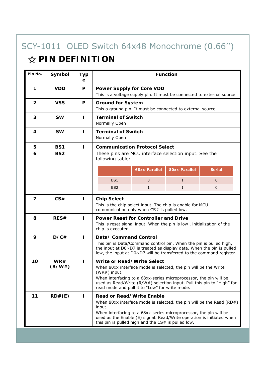# SCY-1011 OLED Switch 64x48 Monochrome (0.66'')

## ☆ **PIN DEFINITION**

| Pin No.        | Symbol                        | <b>Typ</b><br>е | <b>Function</b>                                                                                                                                                                                                                                                                                                          |               |               |               |  |  |  |
|----------------|-------------------------------|-----------------|--------------------------------------------------------------------------------------------------------------------------------------------------------------------------------------------------------------------------------------------------------------------------------------------------------------------------|---------------|---------------|---------------|--|--|--|
| 1              | <b>VDD</b>                    | P               | <b>Power Supply for Core VDD</b><br>This is a voltage supply pin. It must be connected to external source.                                                                                                                                                                                                               |               |               |               |  |  |  |
| $\overline{2}$ | <b>VSS</b>                    | P               | <b>Ground for System</b><br>This a ground pin. It must be connected to external source.                                                                                                                                                                                                                                  |               |               |               |  |  |  |
| 3              | <b>SW</b>                     | T               | <b>Terminal of Switch</b><br>Normally Open                                                                                                                                                                                                                                                                               |               |               |               |  |  |  |
| 4              | <b>SW</b>                     | ı               | <b>Terminal of Switch</b><br>Normally Open                                                                                                                                                                                                                                                                               |               |               |               |  |  |  |
| 5<br>6         | <b>BS1</b><br>BS <sub>2</sub> | п               | <b>Communication Protocol Select</b><br>These pins are MCU interface selection input. See the<br>following table:                                                                                                                                                                                                        |               |               |               |  |  |  |
|                |                               |                 |                                                                                                                                                                                                                                                                                                                          | 68xx-Parallel | 80xx-Parallel | <b>Serial</b> |  |  |  |
|                |                               |                 | BS1                                                                                                                                                                                                                                                                                                                      | $\mathbf{0}$  | $\mathbf{1}$  | $\mathbf{0}$  |  |  |  |
|                |                               |                 | BS <sub>2</sub>                                                                                                                                                                                                                                                                                                          | $\mathbf{1}$  | $\mathbf{1}$  | $\mathbf{0}$  |  |  |  |
| 7              | CS#                           | п               | <b>Chip Select</b><br>This is the chip select input. The chip is enable for MCU<br>communication only when CS# is pulled low.                                                                                                                                                                                            |               |               |               |  |  |  |
| 8              | RES#                          | п               | <b>Power Reset for Controller and Drive</b><br>This is reset signal input. When the pin is low, initialization of the<br>chip is executed.                                                                                                                                                                               |               |               |               |  |  |  |
| 9              | D/C#                          | П               | Data/ Command Control<br>This pin is Data/Command control pin. When the pin is pulled high,<br>the input at D0~D7 is treated as display data. When the pin is pulled<br>low, the input at D0~D7 will be transferred to the command register.                                                                             |               |               |               |  |  |  |
| 10             | WR#<br>(R/W#)                 | П               | Write or Read/Write Select<br>When 80xx interface mode is selected, the pin will be the Write<br>(WR#) input.<br>When interfacing to a 68xx-series microprocessor, the pin will be<br>used as Read/Write (R/W#) selection input. Pull this pin to "High" for<br>read mode and pull it to "Low" for write mode.           |               |               |               |  |  |  |
| 11             | RD#(E)                        | п               | <b>Read or Read/Write Enable</b><br>When 80xx interface mode is selected, the pin will be the Read $(RD#)$<br>input.<br>When interfacing to a 68xx-series microprocessor, the pin will be<br>used as the Enable (E) signal. Read/Write operation is initiated when<br>this pin is pulled high and the CS# is pulled low. |               |               |               |  |  |  |